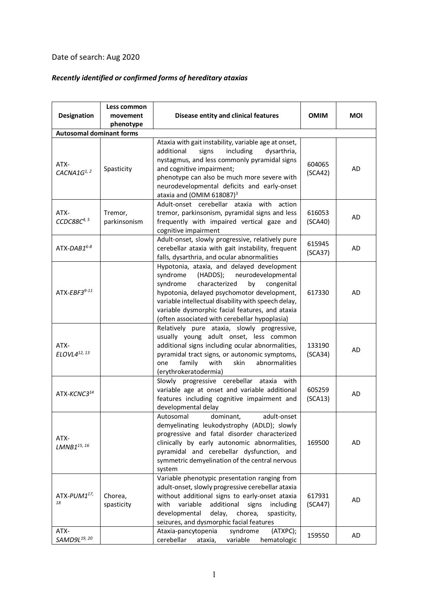## Date of search: Aug 2020

## *Recently identified or confirmed forms of hereditary ataxias*

| Designation                      | Less common<br>movement | Disease entity and clinical features                                                                                                                                                                                                                                                                                                                | <b>OMIM</b>       | <b>MOI</b> |
|----------------------------------|-------------------------|-----------------------------------------------------------------------------------------------------------------------------------------------------------------------------------------------------------------------------------------------------------------------------------------------------------------------------------------------------|-------------------|------------|
|                                  | phenotype               |                                                                                                                                                                                                                                                                                                                                                     |                   |            |
| <b>Autosomal dominant forms</b>  |                         |                                                                                                                                                                                                                                                                                                                                                     |                   |            |
| ATX-<br>CACNA1 $G1,2$            | Spasticity              | Ataxia with gait instability, variable age at onset,<br>additional<br>including<br>signs<br>dysarthria,<br>nystagmus, and less commonly pyramidal signs<br>and cognitive impairment;<br>phenotype can also be much more severe with<br>neurodevelopmental deficits and early-onset<br>ataxia and (OMIM 618087) $3$                                  | 604065<br>(SCA42) | AD         |
| ATX-<br>CCDC88C <sup>4, 5</sup>  | Tremor,<br>parkinsonism | with<br>Adult-onset cerebellar ataxia<br>action<br>tremor, parkinsonism, pyramidal signs and less<br>frequently with impaired vertical gaze and<br>cognitive impairment                                                                                                                                                                             | 616053<br>(SCA40) | AD         |
| $ATX-DAB1^{6-8}$                 |                         | Adult-onset, slowly progressive, relatively pure<br>cerebellar ataxia with gait instability, frequent<br>falls, dysarthria, and ocular abnormalities                                                                                                                                                                                                | 615945<br>(SCA37) | AD         |
| ATX-EBF3 $9-11$                  |                         | Hypotonia, ataxia, and delayed development<br>syndrome<br>(HADDS);<br>neurodevelopmental<br>syndrome<br>characterized<br>congenital<br>by<br>hypotonia, delayed psychomotor development,<br>variable intellectual disability with speech delay,<br>variable dysmorphic facial features, and ataxia<br>(often associated with cerebellar hypoplasia) | 617330            | AD         |
| ATX-<br>ELOVL4 <sup>12, 13</sup> |                         | Relatively pure ataxia, slowly progressive,<br>usually young adult onset, less common<br>additional signs including ocular abnormalities,<br>pyramidal tract signs, or autonomic symptoms,<br>abnormalities<br>family<br>with<br>skin<br>one<br>(erythrokeratodermia)                                                                               | 133190<br>(SCA34) | <b>AD</b>  |
| ATX-KCNC3 <sup>14</sup>          |                         | Slowly progressive cerebellar ataxia with<br>variable age at onset and variable additional<br>features including cognitive impairment and<br>developmental delay                                                                                                                                                                                    | 605259<br>(SCA13) | AD         |
| ATX-<br>LMNB1 <sup>15, 16</sup>  |                         | Autosomal<br>dominant,<br>adult-onset<br>demyelinating leukodystrophy (ADLD); slowly<br>progressive and fatal disorder characterized<br>clinically by early autonomic abnormalities,<br>pyramidal and cerebellar dysfunction, and<br>symmetric demyelination of the central nervous<br>system                                                       | 169500            | AD         |
| ATX-PUM117,<br>18                | Chorea,<br>spasticity   | Variable phenotypic presentation ranging from<br>adult-onset, slowly progressive cerebellar ataxia<br>without additional signs to early-onset ataxia<br>with<br>variable<br>additional<br>signs<br>including<br>developmental<br>delay,<br>chorea,<br>spasticity,<br>seizures, and dysmorphic facial features                                       | 617931<br>(SCA47) | AD         |
| ATX-<br>SAMD9L <sup>19, 20</sup> |                         | syndrome<br>(ATXPC);<br>Ataxia-pancytopenia<br>variable<br>cerebellar<br>ataxia,<br>hematologic                                                                                                                                                                                                                                                     | 159550            | AD         |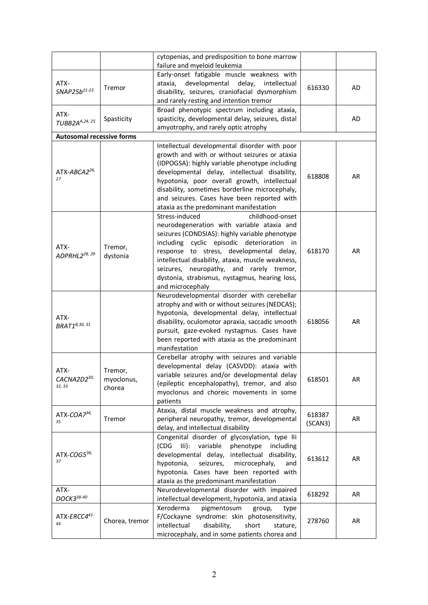|                                    |                     | cytopenias, and predisposition to bone marrow                                                  |         |           |
|------------------------------------|---------------------|------------------------------------------------------------------------------------------------|---------|-----------|
|                                    |                     | failure and myeloid leukemia<br>Early-onset fatigable muscle weakness with                     |         |           |
| ATX-                               |                     | developmental<br>delay,<br>ataxia,<br>intellectual                                             |         |           |
| SNAP25b <sup>21-23</sup>           | Tremor              | disability, seizures, craniofacial dysmorphism                                                 | 616330  | AD        |
|                                    |                     | and rarely resting and intention tremor                                                        |         |           |
|                                    |                     | Broad phenotypic spectrum including ataxia,                                                    |         |           |
| ATX-<br>TUBB2A <sup>A,24, 25</sup> | Spasticity          | spasticity, developmental delay, seizures, distal                                              |         | <b>AD</b> |
|                                    |                     | amyotrophy, and rarely optic atrophy                                                           |         |           |
| <b>Autosomal recessive forms</b>   |                     |                                                                                                |         |           |
|                                    |                     | Intellectual developmental disorder with poor                                                  |         |           |
|                                    |                     | growth and with or without seizures or ataxia                                                  |         |           |
|                                    |                     | (IDPOGSA): highly variable phenotype including                                                 |         |           |
| ATX-ABCA2 <sup>26,</sup><br>27     |                     | developmental delay, intellectual disability,                                                  | 618808  | AR        |
|                                    |                     | hypotonia, poor overall growth, intellectual<br>disability, sometimes borderline microcephaly, |         |           |
|                                    |                     | and seizures. Cases have been reported with                                                    |         |           |
|                                    |                     | ataxia as the predominant manifestation                                                        |         |           |
|                                    |                     | Stress-induced<br>childhood-onset                                                              |         |           |
|                                    |                     | neurodegeneration with variable ataxia and                                                     |         |           |
|                                    |                     | seizures (CONDSIAS): highly variable phenotype                                                 |         |           |
| ATX-                               |                     | including cyclic episodic deterioration in                                                     |         |           |
| ADPRHL2 <sup>28, 29</sup>          | Tremor,<br>dystonia | response to stress, developmental delay,                                                       | 618170  | AR        |
|                                    |                     | intellectual disability, ataxia, muscle weakness,                                              |         |           |
|                                    |                     | seizures, neuropathy, and rarely tremor,                                                       |         |           |
|                                    |                     | dystonia, strabismus, nystagmus, hearing loss,                                                 |         |           |
|                                    |                     | and microcephaly                                                                               |         |           |
|                                    |                     | Neurodevelopmental disorder with cerebellar                                                    |         |           |
|                                    |                     | atrophy and with or without seizures (NEDCAS);<br>hypotonia, developmental delay, intellectual |         |           |
| ATX-                               |                     | disability, oculomotor apraxia, saccadic smooth                                                | 618056  | <b>AR</b> |
| <b>BRAT1</b> <sup>B,30, 31</sup>   |                     | pursuit, gaze-evoked nystagmus. Cases have                                                     |         |           |
|                                    |                     | been reported with ataxia as the predominant                                                   |         |           |
|                                    |                     | manifestation                                                                                  |         |           |
|                                    |                     | Cerebellar atrophy with seizures and variable                                                  |         |           |
| ATX-                               | Tremor,             | developmental delay (CASVDD): ataxia with                                                      |         |           |
| CACNA2D230,                        | myoclonus,          | variable seizures and/or developmental delay                                                   | 618501  | <b>AR</b> |
| 32, 33                             | chorea              | (epileptic encephalopathy), tremor, and also                                                   |         |           |
|                                    |                     | myoclonus and choreic movements in some                                                        |         |           |
|                                    |                     | patients                                                                                       |         |           |
| $ATX-COA7^{34}$                    |                     | Ataxia, distal muscle weakness and atrophy,                                                    | 618387  |           |
| 35                                 | Tremor              | peripheral neuropathy, tremor, developmental<br>delay, and intellectual disability             | (SCAN3) | AR        |
|                                    |                     | Congenital disorder of glycosylation, type IIi                                                 |         |           |
|                                    |                     | (CDG<br>$\overline{\mathsf{III}}$ ):<br>variable<br>phenotype<br>including                     |         |           |
| ATX-COG536,                        |                     | developmental delay, intellectual disability,                                                  |         |           |
| 37                                 |                     | seizures,<br>hypotonia,<br>microcephaly,<br>and                                                | 613612  | AR        |
|                                    |                     | hypotonia. Cases have been reported with                                                       |         |           |
|                                    |                     | ataxia as the predominant manifestation                                                        |         |           |
| ATX-                               |                     | Neurodevelopmental disorder with impaired                                                      | 618292  | AR        |
| DOCK338-40                         |                     | intellectual development, hypotonia, and ataxia                                                |         |           |
|                                    |                     | Xeroderma<br>pigmentosum<br>group,<br>type                                                     |         |           |
| ATX-ERCC441-<br>44                 | Chorea, tremor      | F/Cockayne syndrome: skin photosensitivity,                                                    | 278760  | AR        |
|                                    |                     | intellectual<br>disability,<br>short<br>stature,                                               |         |           |
|                                    |                     | microcephaly, and in some patients chorea and                                                  |         |           |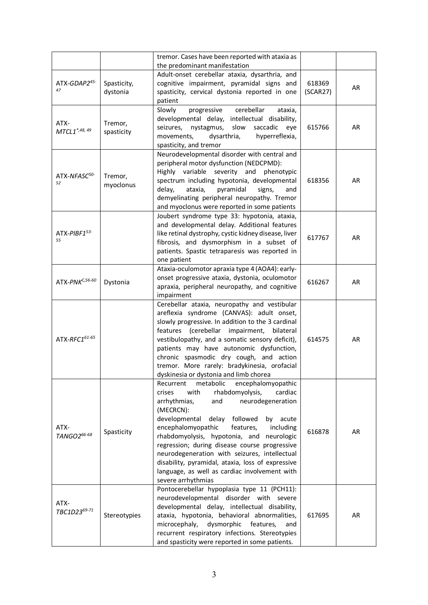|                                  |                         | tremor. Cases have been reported with ataxia as                                                                                                                                                                                                                                                                                                                                                                                                                                                                                          |                    |           |
|----------------------------------|-------------------------|------------------------------------------------------------------------------------------------------------------------------------------------------------------------------------------------------------------------------------------------------------------------------------------------------------------------------------------------------------------------------------------------------------------------------------------------------------------------------------------------------------------------------------------|--------------------|-----------|
|                                  |                         | the predominant manifestation                                                                                                                                                                                                                                                                                                                                                                                                                                                                                                            |                    |           |
| ATX-GDAP245-<br>47               | Spasticity,<br>dystonia | Adult-onset cerebellar ataxia, dysarthria, and<br>cognitive impairment, pyramidal signs and<br>spasticity, cervical dystonia reported in one<br>patient                                                                                                                                                                                                                                                                                                                                                                                  | 618369<br>(SCAR27) | AR        |
| ATX-<br>MTCL1 <sup>*,48,49</sup> | Tremor,<br>spasticity   | Slowly<br>cerebellar<br>progressive<br>ataxia,<br>developmental delay, intellectual disability,<br>nystagmus,<br>slow<br>seizures,<br>saccadic<br>eye<br>movements,<br>dysarthria,<br>hyperreflexia,<br>spasticity, and tremor                                                                                                                                                                                                                                                                                                           | 615766             | AR        |
| ATX-NFASC <sup>50-</sup><br>52   | Tremor,<br>myoclonus    | Neurodevelopmental disorder with central and<br>peripheral motor dysfunction (NEDCPMD):<br>Highly<br>variable<br>severity<br>and<br>phenotypic<br>spectrum including hypotonia, developmental<br>delay,<br>pyramidal<br>ataxia,<br>signs,<br>and<br>demyelinating peripheral neuropathy. Tremor<br>and myoclonus were reported in some patients                                                                                                                                                                                          | 618356             | <b>AR</b> |
| ATX-PIBF153-<br>55               |                         | Joubert syndrome type 33: hypotonia, ataxia,<br>and developmental delay. Additional features<br>like retinal dystrophy, cystic kidney disease, liver<br>fibrosis, and dysmorphism in a subset of<br>patients. Spastic tetraparesis was reported in<br>one patient                                                                                                                                                                                                                                                                        | 617767             | AR        |
| ATX-PNK <sup>C,56-60</sup>       | Dystonia                | Ataxia-oculomotor apraxia type 4 (AOA4): early-<br>onset progressive ataxia, dystonia, oculomotor<br>apraxia, peripheral neuropathy, and cognitive<br>impairment                                                                                                                                                                                                                                                                                                                                                                         | 616267             | <b>AR</b> |
| ATX-RFC161-65                    |                         | Cerebellar ataxia, neuropathy and vestibular<br>areflexia syndrome (CANVAS): adult onset,<br>slowly progressive. In addition to the 3 cardinal<br>features (cerebellar impairment,<br>bilateral<br>vestibulopathy, and a somatic sensory deficit),<br>patients may have autonomic dysfunction,<br>chronic spasmodic dry cough, and action<br>tremor. More rarely: bradykinesia, orofacial<br>dyskinesia or dystonia and limb chorea                                                                                                      | 614575             | AR        |
| ATX-<br>TANGO266-68              | Spasticity              | Recurrent<br>metabolic<br>encephalomyopathic<br>rhabdomyolysis,<br>crises<br>with<br>cardiac<br>neurodegeneration<br>arrhythmias,<br>and<br>(MECRCN):<br>developmental<br>followed<br>delay<br>acute<br>by<br>encephalomyopathic<br>features,<br>including<br>rhabdomyolysis, hypotonia, and<br>neurologic<br>regression; during disease course progressive<br>neurodegeneration with seizures, intellectual<br>disability, pyramidal, ataxia, loss of expressive<br>language, as well as cardiac involvement with<br>severe arrhythmias | 616878             | AR        |
| ATX-<br>TBC1D2369-71             | Stereotypies            | Pontocerebellar hypoplasia type 11 (PCH11):<br>neurodevelopmental disorder with severe<br>developmental delay, intellectual disability,<br>ataxia, hypotonia, behavioral abnormalities,<br>microcephaly,<br>dysmorphic<br>features,<br>and<br>recurrent respiratory infections. Stereotypies<br>and spasticity were reported in some patients.                                                                                                                                                                                           | 617695             | AR        |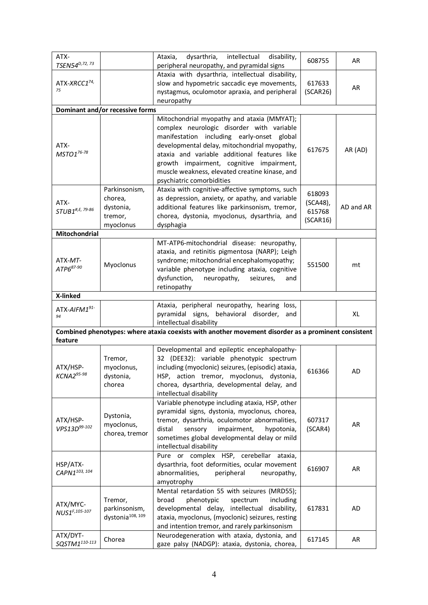| ATX-<br>TSEN54 <sup>D, 72, 73</sup>   |                                                               | dysarthria,<br>intellectual<br>disability,<br>Ataxia,<br>peripheral neuropathy, and pyramidal signs                                                                                                                                                                                                                                                              | 608755                                   | AR        |
|---------------------------------------|---------------------------------------------------------------|------------------------------------------------------------------------------------------------------------------------------------------------------------------------------------------------------------------------------------------------------------------------------------------------------------------------------------------------------------------|------------------------------------------|-----------|
| ATX-XRCC174,<br>75                    |                                                               | Ataxia with dysarthria, intellectual disability,<br>slow and hypometric saccadic eye movements,<br>nystagmus, oculomotor apraxia, and peripheral<br>neuropathy                                                                                                                                                                                                   | 617633<br>(SCAR26)                       | AR        |
|                                       | Dominant and/or recessive forms                               |                                                                                                                                                                                                                                                                                                                                                                  |                                          |           |
| ATX-<br>MSTO176-78                    |                                                               | Mitochondrial myopathy and ataxia (MMYAT);<br>complex neurologic disorder with variable<br>manifestation including early-onset global<br>developmental delay, mitochondrial myopathy,<br>ataxia and variable additional features like<br>growth impairment, cognitive impairment,<br>muscle weakness, elevated creatine kinase, and<br>psychiatric comorbidities | 617675                                   | AR (AD)   |
| ATX-<br>STUB1#,E, 79-86               | Parkinsonism,<br>chorea,<br>dystonia,<br>tremor,<br>myoclonus | Ataxia with cognitive-affective symptoms, such<br>as depression, anxiety, or apathy, and variable<br>additional features like parkinsonism, tremor,<br>chorea, dystonia, myoclonus, dysarthria, and<br>dysphagia                                                                                                                                                 | 618093<br>(SCA48),<br>615768<br>(SCAR16) | AD and AR |
| Mitochondrial                         |                                                               |                                                                                                                                                                                                                                                                                                                                                                  |                                          |           |
| ATX-MT-<br>ATP687-90                  | Myoclonus                                                     | MT-ATP6-mitochondrial disease: neuropathy,<br>ataxia, and retinitis pigmentosa (NARP); Leigh<br>syndrome; mitochondrial encephalomyopathy;<br>variable phenotype including ataxia, cognitive<br>dysfunction,<br>neuropathy,<br>seizures,<br>and<br>retinopathy                                                                                                   | 551500                                   | mt        |
| X-linked                              |                                                               |                                                                                                                                                                                                                                                                                                                                                                  |                                          |           |
| ATX-AIFM191-<br>94                    |                                                               | Ataxia, peripheral neuropathy, hearing loss,<br>pyramidal signs,<br>behavioral disorder,<br>and<br>intellectual disability                                                                                                                                                                                                                                       |                                          | XL        |
| feature                               |                                                               | Combined phenotypes: where ataxia coexists with another movement disorder as a prominent consistent                                                                                                                                                                                                                                                              |                                          |           |
| ATX/HSP-<br>KCNA295-98                | Tremor,<br>myoclonus,<br>dystonia,<br>chorea                  | Developmental and epileptic encephalopathy-<br>32 (DEE32): variable phenotypic spectrum<br>including (myoclonic) seizures, (episodic) ataxia,<br>HSP, action tremor, myoclonus, dystonia,<br>chorea, dysarthria, developmental delay, and<br>intellectual disability                                                                                             | 616366                                   | AD        |
| ATX/HSP-<br>VPS13D99-102              | Dystonia,<br>myoclonus,<br>chorea, tremor                     | Variable phenotype including ataxia, HSP, other<br>pyramidal signs, dystonia, myoclonus, chorea,<br>tremor, dysarthria, oculomotor abnormalities,<br>distal<br>impairment,<br>sensory<br>hypotonia,<br>sometimes global developmental delay or mild<br>intellectual disability                                                                                   | 607317<br>(SCAR4)                        | AR        |
| HSP/ATX-<br>CAPN1103, 104             |                                                               | Pure or complex HSP, cerebellar ataxia,<br>dysarthria, foot deformities, ocular movement<br>abnormalities,<br>peripheral<br>neuropathy,<br>amyotrophy                                                                                                                                                                                                            | 616907                                   | AR        |
| ATX/MYC-<br>NUS1 <sup>F,105-107</sup> | Tremor,<br>parkinsonism,<br>dystonia <sup>108, 109</sup>      | Mental retardation 55 with seizures (MRD55);<br>phenotypic<br>spectrum<br>including<br>broad<br>developmental delay, intellectual disability,<br>ataxia, myoclonus, (myoclonic) seizures, resting<br>and intention tremor, and rarely parkinsonism                                                                                                               | 617831                                   | AD        |
| ATX/DYT-<br>SQSTM1110-113             | Chorea                                                        | Neurodegeneration with ataxia, dystonia, and<br>gaze palsy (NADGP): ataxia, dystonia, chorea,                                                                                                                                                                                                                                                                    | 617145                                   | AR        |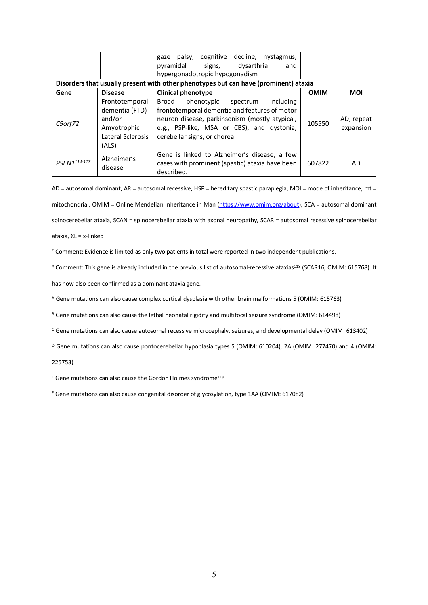|                                                                                      |                                                                                         | cognitive decline, nystagmus,<br>gaze palsy,<br>pyramidal<br>dysarthria<br>signs,<br>and<br>hypergonadotropic hypogonadism                                                                                                |             |                         |
|--------------------------------------------------------------------------------------|-----------------------------------------------------------------------------------------|---------------------------------------------------------------------------------------------------------------------------------------------------------------------------------------------------------------------------|-------------|-------------------------|
| Disorders that usually present with other phenotypes but can have (prominent) ataxia |                                                                                         |                                                                                                                                                                                                                           |             |                         |
| Gene                                                                                 | <b>Disease</b>                                                                          | <b>Clinical phenotype</b>                                                                                                                                                                                                 | <b>OMIM</b> | MOI                     |
| C9orf72                                                                              | Frontotemporal<br>dementia (FTD)<br>and/or<br>Amyotrophic<br>Lateral Sclerosis<br>(ALS) | phenotypic spectrum<br>including<br>Broad<br>frontotemporal dementia and features of motor<br>neuron disease, parkinsonism (mostly atypical,<br>e.g., PSP-like, MSA or CBS), and dystonia,<br>cerebellar signs, or chorea | 105550      | AD, repeat<br>expansion |
| PSEN1114-117                                                                         | Alzheimer's<br>disease                                                                  | Gene is linked to Alzheimer's disease; a few<br>cases with prominent (spastic) ataxia have been<br>described.                                                                                                             | 607822      | AD                      |

AD = autosomal dominant, AR = autosomal recessive, HSP = hereditary spastic paraplegia, MOI = mode of inheritance, mt = mitochondrial, OMIM = Online Mendelian Inheritance in Man (https://www.omim.org/about), SCA = autosomal dominant spinocerebellar ataxia, SCAN = spinocerebellar ataxia with axonal neuropathy, SCAR = autosomal recessive spinocerebellar ataxia, XL = x-linked

\* Comment: Evidence is limited as only two patients in total were reported in two independent publications.

# Comment: This gene is already included in the previous list of autosomal-recessive ataxias<sup>118</sup> (SCAR16, OMIM: 615768). It

has now also been confirmed as a dominant ataxia gene.

<sup>A</sup> Gene mutations can also cause complex cortical dysplasia with other brain malformations 5 (OMIM: 615763)

B Gene mutations can also cause the lethal neonatal rigidity and multifocal seizure syndrome (OMIM: 614498)

<sup>C</sup> Gene mutations can also cause autosomal recessive microcephaly, seizures, and developmental delay (OMIM: 613402)

D Gene mutations can also cause pontocerebellar hypoplasia types 5 (OMIM: 610204), 2A (OMIM: 277470) and 4 (OMIM:

225753)

 $E$  Gene mutations can also cause the Gordon Holmes syndrome<sup>119</sup>

<sup>F</sup> Gene mutations can also cause congenital disorder of glycosylation, type 1AA (OMIM: 617082)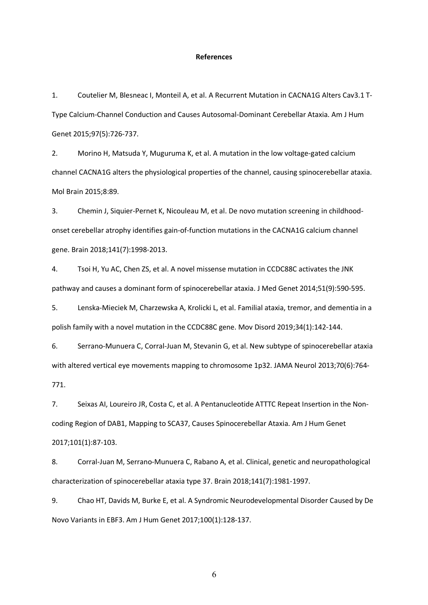## **References**

1. Coutelier M, Blesneac I, Monteil A, et al. A Recurrent Mutation in CACNA1G Alters Cav3.1 T-Type Calcium-Channel Conduction and Causes Autosomal-Dominant Cerebellar Ataxia. Am J Hum Genet 2015;97(5):726-737.

2. Morino H, Matsuda Y, Muguruma K, et al. A mutation in the low voltage-gated calcium channel CACNA1G alters the physiological properties of the channel, causing spinocerebellar ataxia. Mol Brain 2015;8:89.

3. Chemin J, Siquier-Pernet K, Nicouleau M, et al. De novo mutation screening in childhoodonset cerebellar atrophy identifies gain-of-function mutations in the CACNA1G calcium channel gene. Brain 2018;141(7):1998-2013.

4. Tsoi H, Yu AC, Chen ZS, et al. A novel missense mutation in CCDC88C activates the JNK pathway and causes a dominant form of spinocerebellar ataxia. J Med Genet 2014;51(9):590-595.

5. Lenska-Mieciek M, Charzewska A, Krolicki L, et al. Familial ataxia, tremor, and dementia in a polish family with a novel mutation in the CCDC88C gene. Mov Disord 2019;34(1):142-144.

6. Serrano-Munuera C, Corral-Juan M, Stevanin G, et al. New subtype of spinocerebellar ataxia with altered vertical eye movements mapping to chromosome 1p32. JAMA Neurol 2013;70(6):764- 771.

7. Seixas AI, Loureiro JR, Costa C, et al. A Pentanucleotide ATTTC Repeat Insertion in the Noncoding Region of DAB1, Mapping to SCA37, Causes Spinocerebellar Ataxia. Am J Hum Genet 2017;101(1):87-103.

8. Corral-Juan M, Serrano-Munuera C, Rabano A, et al. Clinical, genetic and neuropathological characterization of spinocerebellar ataxia type 37. Brain 2018;141(7):1981-1997.

9. Chao HT, Davids M, Burke E, et al. A Syndromic Neurodevelopmental Disorder Caused by De Novo Variants in EBF3. Am J Hum Genet 2017;100(1):128-137.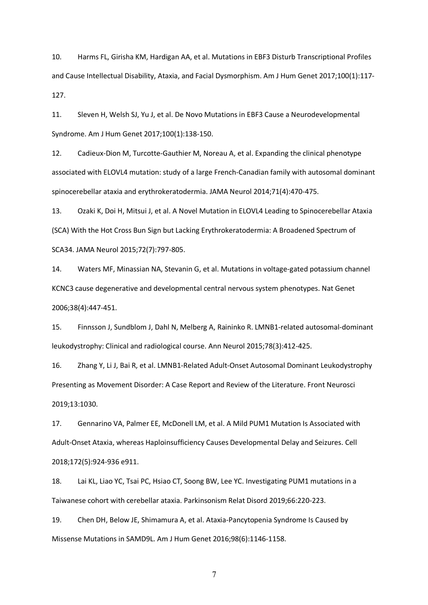10. Harms FL, Girisha KM, Hardigan AA, et al. Mutations in EBF3 Disturb Transcriptional Profiles and Cause Intellectual Disability, Ataxia, and Facial Dysmorphism. Am J Hum Genet 2017;100(1):117- 127.

11. Sleven H, Welsh SJ, Yu J, et al. De Novo Mutations in EBF3 Cause a Neurodevelopmental Syndrome. Am J Hum Genet 2017;100(1):138-150.

12. Cadieux-Dion M, Turcotte-Gauthier M, Noreau A, et al. Expanding the clinical phenotype associated with ELOVL4 mutation: study of a large French-Canadian family with autosomal dominant spinocerebellar ataxia and erythrokeratodermia. JAMA Neurol 2014;71(4):470-475.

13. Ozaki K, Doi H, Mitsui J, et al. A Novel Mutation in ELOVL4 Leading to Spinocerebellar Ataxia (SCA) With the Hot Cross Bun Sign but Lacking Erythrokeratodermia: A Broadened Spectrum of SCA34. JAMA Neurol 2015;72(7):797-805.

14. Waters MF, Minassian NA, Stevanin G, et al. Mutations in voltage-gated potassium channel KCNC3 cause degenerative and developmental central nervous system phenotypes. Nat Genet 2006;38(4):447-451.

15. Finnsson J, Sundblom J, Dahl N, Melberg A, Raininko R. LMNB1-related autosomal-dominant leukodystrophy: Clinical and radiological course. Ann Neurol 2015;78(3):412-425.

16. Zhang Y, Li J, Bai R, et al. LMNB1-Related Adult-Onset Autosomal Dominant Leukodystrophy Presenting as Movement Disorder: A Case Report and Review of the Literature. Front Neurosci 2019;13:1030.

17. Gennarino VA, Palmer EE, McDonell LM, et al. A Mild PUM1 Mutation Is Associated with Adult-Onset Ataxia, whereas Haploinsufficiency Causes Developmental Delay and Seizures. Cell 2018;172(5):924-936 e911.

18. Lai KL, Liao YC, Tsai PC, Hsiao CT, Soong BW, Lee YC. Investigating PUM1 mutations in a Taiwanese cohort with cerebellar ataxia. Parkinsonism Relat Disord 2019;66:220-223.

19. Chen DH, Below JE, Shimamura A, et al. Ataxia-Pancytopenia Syndrome Is Caused by Missense Mutations in SAMD9L. Am J Hum Genet 2016;98(6):1146-1158.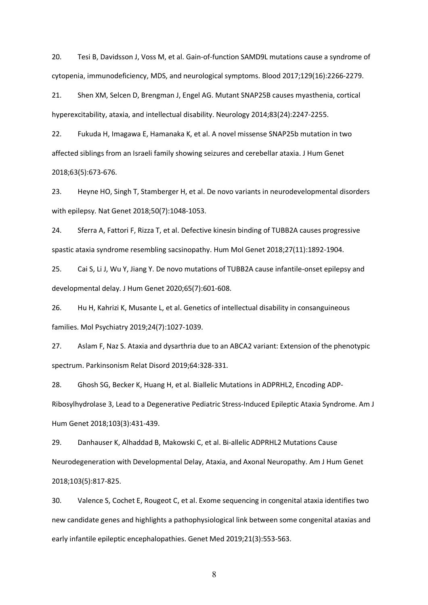20. Tesi B, Davidsson J, Voss M, et al. Gain-of-function SAMD9L mutations cause a syndrome of cytopenia, immunodeficiency, MDS, and neurological symptoms. Blood 2017;129(16):2266-2279.

21. Shen XM, Selcen D, Brengman J, Engel AG. Mutant SNAP25B causes myasthenia, cortical hyperexcitability, ataxia, and intellectual disability. Neurology 2014;83(24):2247-2255.

22. Fukuda H, Imagawa E, Hamanaka K, et al. A novel missense SNAP25b mutation in two affected siblings from an Israeli family showing seizures and cerebellar ataxia. J Hum Genet 2018;63(5):673-676.

23. Heyne HO, Singh T, Stamberger H, et al. De novo variants in neurodevelopmental disorders with epilepsy. Nat Genet 2018;50(7):1048-1053.

24. Sferra A, Fattori F, Rizza T, et al. Defective kinesin binding of TUBB2A causes progressive spastic ataxia syndrome resembling sacsinopathy. Hum Mol Genet 2018;27(11):1892-1904.

25. Cai S, Li J, Wu Y, Jiang Y. De novo mutations of TUBB2A cause infantile-onset epilepsy and developmental delay. J Hum Genet 2020;65(7):601-608.

26. Hu H, Kahrizi K, Musante L, et al. Genetics of intellectual disability in consanguineous families. Mol Psychiatry 2019;24(7):1027-1039.

27. Aslam F, Naz S. Ataxia and dysarthria due to an ABCA2 variant: Extension of the phenotypic spectrum. Parkinsonism Relat Disord 2019;64:328-331.

28. Ghosh SG, Becker K, Huang H, et al. Biallelic Mutations in ADPRHL2, Encoding ADP-Ribosylhydrolase 3, Lead to a Degenerative Pediatric Stress-Induced Epileptic Ataxia Syndrome. Am J Hum Genet 2018;103(3):431-439.

29. Danhauser K, Alhaddad B, Makowski C, et al. Bi-allelic ADPRHL2 Mutations Cause Neurodegeneration with Developmental Delay, Ataxia, and Axonal Neuropathy. Am J Hum Genet 2018;103(5):817-825.

30. Valence S, Cochet E, Rougeot C, et al. Exome sequencing in congenital ataxia identifies two new candidate genes and highlights a pathophysiological link between some congenital ataxias and early infantile epileptic encephalopathies. Genet Med 2019;21(3):553-563.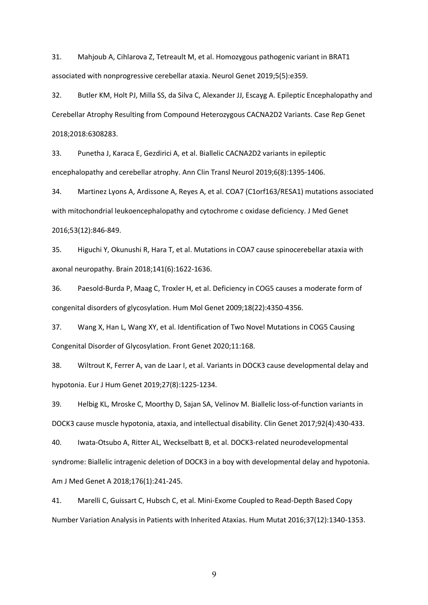31. Mahjoub A, Cihlarova Z, Tetreault M, et al. Homozygous pathogenic variant in BRAT1 associated with nonprogressive cerebellar ataxia. Neurol Genet 2019;5(5):e359.

32. Butler KM, Holt PJ, Milla SS, da Silva C, Alexander JJ, Escayg A. Epileptic Encephalopathy and Cerebellar Atrophy Resulting from Compound Heterozygous CACNA2D2 Variants. Case Rep Genet 2018;2018:6308283.

33. Punetha J, Karaca E, Gezdirici A, et al. Biallelic CACNA2D2 variants in epileptic encephalopathy and cerebellar atrophy. Ann Clin Transl Neurol 2019;6(8):1395-1406.

34. Martinez Lyons A, Ardissone A, Reyes A, et al. COA7 (C1orf163/RESA1) mutations associated with mitochondrial leukoencephalopathy and cytochrome c oxidase deficiency. J Med Genet 2016;53(12):846-849.

35. Higuchi Y, Okunushi R, Hara T, et al. Mutations in COA7 cause spinocerebellar ataxia with axonal neuropathy. Brain 2018;141(6):1622-1636.

36. Paesold-Burda P, Maag C, Troxler H, et al. Deficiency in COG5 causes a moderate form of congenital disorders of glycosylation. Hum Mol Genet 2009;18(22):4350-4356.

37. Wang X, Han L, Wang XY, et al. Identification of Two Novel Mutations in COG5 Causing Congenital Disorder of Glycosylation. Front Genet 2020;11:168.

38. Wiltrout K, Ferrer A, van de Laar I, et al. Variants in DOCK3 cause developmental delay and hypotonia. Eur J Hum Genet 2019;27(8):1225-1234.

39. Helbig KL, Mroske C, Moorthy D, Sajan SA, Velinov M. Biallelic loss-of-function variants in DOCK3 cause muscle hypotonia, ataxia, and intellectual disability. Clin Genet 2017;92(4):430-433.

40. Iwata-Otsubo A, Ritter AL, Weckselbatt B, et al. DOCK3-related neurodevelopmental syndrome: Biallelic intragenic deletion of DOCK3 in a boy with developmental delay and hypotonia. Am J Med Genet A 2018;176(1):241-245.

41. Marelli C, Guissart C, Hubsch C, et al. Mini-Exome Coupled to Read-Depth Based Copy Number Variation Analysis in Patients with Inherited Ataxias. Hum Mutat 2016;37(12):1340-1353.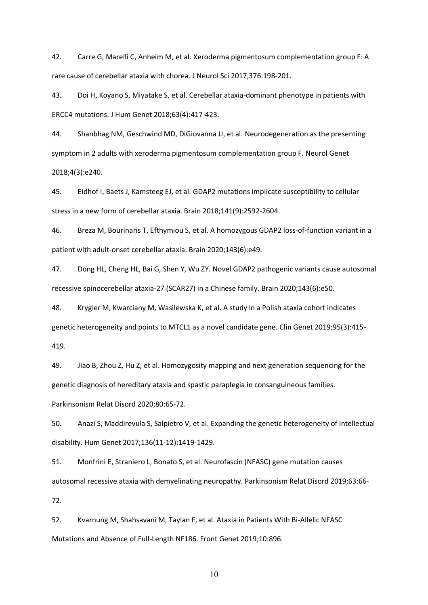42. Carre G, Marelli C, Anheim M, et al. Xeroderma pigmentosum complementation group F: A rare cause of cerebellar ataxia with chorea. J Neurol Sci 2017;376:198-201.

43. Doi H, Koyano S, Miyatake S, et al. Cerebellar ataxia-dominant phenotype in patients with ERCC4 mutations. J Hum Genet 2018;63(4):417-423.

44. Shanbhag NM, Geschwind MD, DiGiovanna JJ, et al. Neurodegeneration as the presenting symptom in 2 adults with xeroderma pigmentosum complementation group F. Neurol Genet 2018;4(3):e240.

45. Eidhof I, Baets J, Kamsteeg EJ, et al. GDAP2 mutations implicate susceptibility to cellular stress in a new form of cerebellar ataxia. Brain 2018;141(9):2592-2604.

46. Breza M, Bourinaris T, Efthymiou S, et al. A homozygous GDAP2 loss-of-function variant in a patient with adult-onset cerebellar ataxia. Brain 2020;143(6):e49.

47. Dong HL, Cheng HL, Bai G, Shen Y, Wu ZY. Novel GDAP2 pathogenic variants cause autosomal recessive spinocerebellar ataxia-27 (SCAR27) in a Chinese family. Brain 2020;143(6):e50.

48. Krygier M, Kwarciany M, Wasilewska K, et al. A study in a Polish ataxia cohort indicates genetic heterogeneity and points to MTCL1 as a novel candidate gene. Clin Genet 2019;95(3):415- 419.

49. Jiao B, Zhou Z, Hu Z, et al. Homozygosity mapping and next generation sequencing for the genetic diagnosis of hereditary ataxia and spastic paraplegia in consanguineous families. Parkinsonism Relat Disord 2020;80:65-72.

50. Anazi S, Maddirevula S, Salpietro V, et al. Expanding the genetic heterogeneity of intellectual disability. Hum Genet 2017;136(11-12):1419-1429.

51. Monfrini E, Straniero L, Bonato S, et al. Neurofascin (NFASC) gene mutation causes autosomal recessive ataxia with demyelinating neuropathy. Parkinsonism Relat Disord 2019;63:66- 72.

52. Kvarnung M, Shahsavani M, Taylan F, et al. Ataxia in Patients With Bi-Allelic NFASC Mutations and Absence of Full-Length NF186. Front Genet 2019;10:896.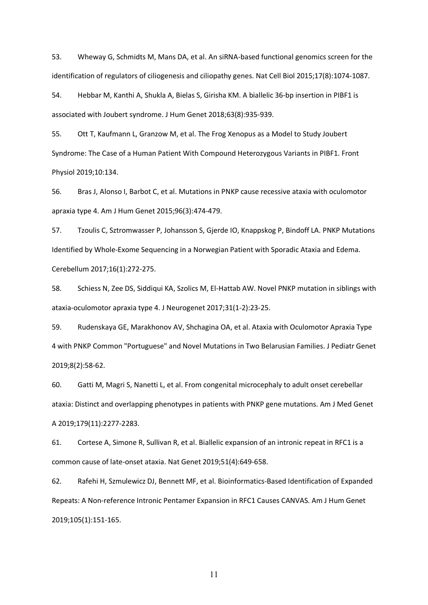53. Wheway G, Schmidts M, Mans DA, et al. An siRNA-based functional genomics screen for the identification of regulators of ciliogenesis and ciliopathy genes. Nat Cell Biol 2015;17(8):1074-1087.

54. Hebbar M, Kanthi A, Shukla A, Bielas S, Girisha KM. A biallelic 36-bp insertion in PIBF1 is associated with Joubert syndrome. J Hum Genet 2018;63(8):935-939.

55. Ott T, Kaufmann L, Granzow M, et al. The Frog Xenopus as a Model to Study Joubert Syndrome: The Case of a Human Patient With Compound Heterozygous Variants in PIBF1. Front Physiol 2019;10:134.

56. Bras J, Alonso I, Barbot C, et al. Mutations in PNKP cause recessive ataxia with oculomotor apraxia type 4. Am J Hum Genet 2015;96(3):474-479.

57. Tzoulis C, Sztromwasser P, Johansson S, Gjerde IO, Knappskog P, Bindoff LA. PNKP Mutations Identified by Whole-Exome Sequencing in a Norwegian Patient with Sporadic Ataxia and Edema. Cerebellum 2017;16(1):272-275.

58. Schiess N, Zee DS, Siddiqui KA, Szolics M, El-Hattab AW. Novel PNKP mutation in siblings with ataxia-oculomotor apraxia type 4. J Neurogenet 2017;31(1-2):23-25.

59. Rudenskaya GE, Marakhonov AV, Shchagina OA, et al. Ataxia with Oculomotor Apraxia Type 4 with PNKP Common "Portuguese" and Novel Mutations in Two Belarusian Families. J Pediatr Genet 2019;8(2):58-62.

60. Gatti M, Magri S, Nanetti L, et al. From congenital microcephaly to adult onset cerebellar ataxia: Distinct and overlapping phenotypes in patients with PNKP gene mutations. Am J Med Genet A 2019;179(11):2277-2283.

61. Cortese A, Simone R, Sullivan R, et al. Biallelic expansion of an intronic repeat in RFC1 is a common cause of late-onset ataxia. Nat Genet 2019;51(4):649-658.

62. Rafehi H, Szmulewicz DJ, Bennett MF, et al. Bioinformatics-Based Identification of Expanded Repeats: A Non-reference Intronic Pentamer Expansion in RFC1 Causes CANVAS. Am J Hum Genet 2019;105(1):151-165.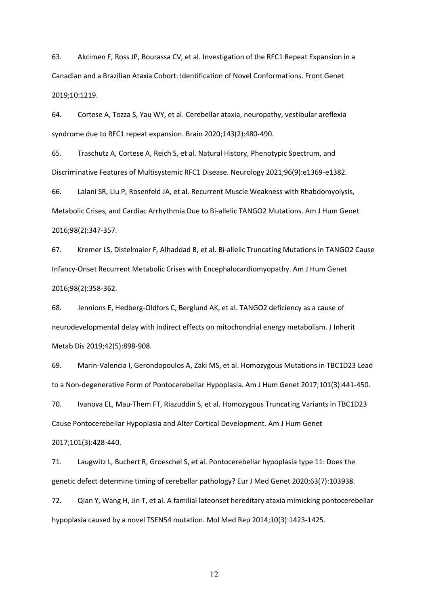63. Akcimen F, Ross JP, Bourassa CV, et al. Investigation of the RFC1 Repeat Expansion in a Canadian and a Brazilian Ataxia Cohort: Identification of Novel Conformations. Front Genet 2019;10:1219.

64. Cortese A, Tozza S, Yau WY, et al. Cerebellar ataxia, neuropathy, vestibular areflexia syndrome due to RFC1 repeat expansion. Brain 2020;143(2):480-490.

65. Traschutz A, Cortese A, Reich S, et al. Natural History, Phenotypic Spectrum, and Discriminative Features of Multisystemic RFC1 Disease. Neurology 2021;96(9):e1369-e1382.

66. Lalani SR, Liu P, Rosenfeld JA, et al. Recurrent Muscle Weakness with Rhabdomyolysis, Metabolic Crises, and Cardiac Arrhythmia Due to Bi-allelic TANGO2 Mutations. Am J Hum Genet 2016;98(2):347-357.

67. Kremer LS, Distelmaier F, Alhaddad B, et al. Bi-allelic Truncating Mutations in TANGO2 Cause Infancy-Onset Recurrent Metabolic Crises with Encephalocardiomyopathy. Am J Hum Genet 2016;98(2):358-362.

68. Jennions E, Hedberg-Oldfors C, Berglund AK, et al. TANGO2 deficiency as a cause of neurodevelopmental delay with indirect effects on mitochondrial energy metabolism. J Inherit Metab Dis 2019;42(5):898-908.

69. Marin-Valencia I, Gerondopoulos A, Zaki MS, et al. Homozygous Mutations in TBC1D23 Lead to a Non-degenerative Form of Pontocerebellar Hypoplasia. Am J Hum Genet 2017;101(3):441-450.

70. Ivanova EL, Mau-Them FT, Riazuddin S, et al. Homozygous Truncating Variants in TBC1D23 Cause Pontocerebellar Hypoplasia and Alter Cortical Development. Am J Hum Genet 2017;101(3):428-440.

71. Laugwitz L, Buchert R, Groeschel S, et al. Pontocerebellar hypoplasia type 11: Does the genetic defect determine timing of cerebellar pathology? Eur J Med Genet 2020;63(7):103938.

72. Qian Y, Wang H, Jin T, et al. A familial lateonset hereditary ataxia mimicking pontocerebellar hypoplasia caused by a novel TSEN54 mutation. Mol Med Rep 2014;10(3):1423-1425.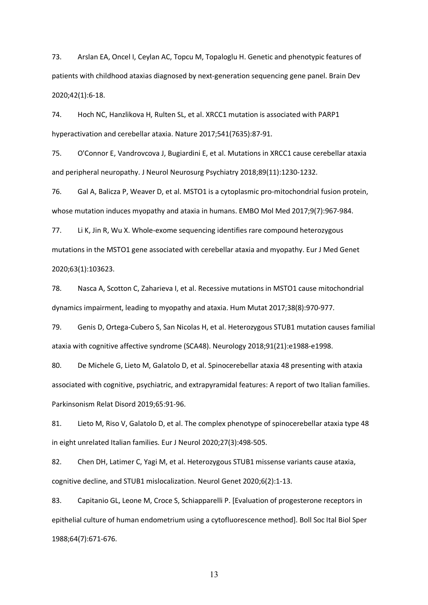73. Arslan EA, Oncel I, Ceylan AC, Topcu M, Topaloglu H. Genetic and phenotypic features of patients with childhood ataxias diagnosed by next-generation sequencing gene panel. Brain Dev 2020;42(1):6-18.

74. Hoch NC, Hanzlikova H, Rulten SL, et al. XRCC1 mutation is associated with PARP1 hyperactivation and cerebellar ataxia. Nature 2017;541(7635):87-91.

75. O'Connor E, Vandrovcova J, Bugiardini E, et al. Mutations in XRCC1 cause cerebellar ataxia and peripheral neuropathy. J Neurol Neurosurg Psychiatry 2018;89(11):1230-1232.

76. Gal A, Balicza P, Weaver D, et al. MSTO1 is a cytoplasmic pro-mitochondrial fusion protein, whose mutation induces myopathy and ataxia in humans. EMBO Mol Med 2017;9(7):967-984.

77. Li K, Jin R, Wu X. Whole-exome sequencing identifies rare compound heterozygous mutations in the MSTO1 gene associated with cerebellar ataxia and myopathy. Eur J Med Genet 2020;63(1):103623.

78. Nasca A, Scotton C, Zaharieva I, et al. Recessive mutations in MSTO1 cause mitochondrial dynamics impairment, leading to myopathy and ataxia. Hum Mutat 2017;38(8):970-977.

79. Genis D, Ortega-Cubero S, San Nicolas H, et al. Heterozygous STUB1 mutation causes familial ataxia with cognitive affective syndrome (SCA48). Neurology 2018;91(21):e1988-e1998.

80. De Michele G, Lieto M, Galatolo D, et al. Spinocerebellar ataxia 48 presenting with ataxia associated with cognitive, psychiatric, and extrapyramidal features: A report of two Italian families. Parkinsonism Relat Disord 2019;65:91-96.

81. Lieto M, Riso V, Galatolo D, et al. The complex phenotype of spinocerebellar ataxia type 48 in eight unrelated Italian families. Eur J Neurol 2020;27(3):498-505.

82. Chen DH, Latimer C, Yagi M, et al. Heterozygous STUB1 missense variants cause ataxia, cognitive decline, and STUB1 mislocalization. Neurol Genet 2020;6(2):1-13.

83. Capitanio GL, Leone M, Croce S, Schiapparelli P. [Evaluation of progesterone receptors in epithelial culture of human endometrium using a cytofluorescence method]. Boll Soc Ital Biol Sper 1988;64(7):671-676.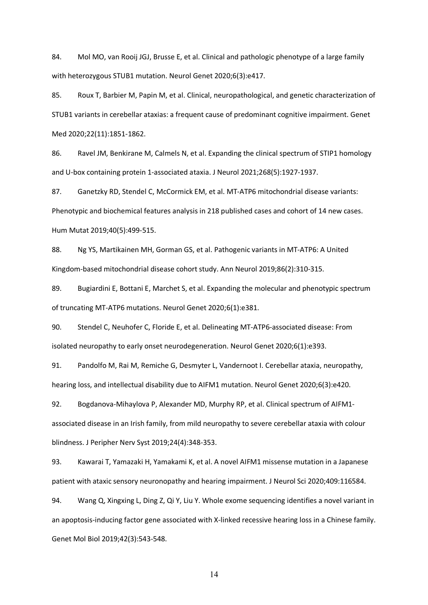84. Mol MO, van Rooij JGJ, Brusse E, et al. Clinical and pathologic phenotype of a large family with heterozygous STUB1 mutation. Neurol Genet 2020;6(3):e417.

85. Roux T, Barbier M, Papin M, et al. Clinical, neuropathological, and genetic characterization of STUB1 variants in cerebellar ataxias: a frequent cause of predominant cognitive impairment. Genet Med 2020;22(11):1851-1862.

86. Ravel JM, Benkirane M, Calmels N, et al. Expanding the clinical spectrum of STIP1 homology and U-box containing protein 1-associated ataxia. J Neurol 2021;268(5):1927-1937.

87. Ganetzky RD, Stendel C, McCormick EM, et al. MT-ATP6 mitochondrial disease variants: Phenotypic and biochemical features analysis in 218 published cases and cohort of 14 new cases. Hum Mutat 2019;40(5):499-515.

88. Ng YS, Martikainen MH, Gorman GS, et al. Pathogenic variants in MT-ATP6: A United Kingdom-based mitochondrial disease cohort study. Ann Neurol 2019;86(2):310-315.

89. Bugiardini E, Bottani E, Marchet S, et al. Expanding the molecular and phenotypic spectrum of truncating MT-ATP6 mutations. Neurol Genet 2020;6(1):e381.

90. Stendel C, Neuhofer C, Floride E, et al. Delineating MT-ATP6-associated disease: From isolated neuropathy to early onset neurodegeneration. Neurol Genet 2020;6(1):e393.

91. Pandolfo M, Rai M, Remiche G, Desmyter L, Vandernoot I. Cerebellar ataxia, neuropathy, hearing loss, and intellectual disability due to AIFM1 mutation. Neurol Genet 2020;6(3):e420.

92. Bogdanova-Mihaylova P, Alexander MD, Murphy RP, et al. Clinical spectrum of AIFM1 associated disease in an Irish family, from mild neuropathy to severe cerebellar ataxia with colour blindness. J Peripher Nerv Syst 2019;24(4):348-353.

93. Kawarai T, Yamazaki H, Yamakami K, et al. A novel AIFM1 missense mutation in a Japanese patient with ataxic sensory neuronopathy and hearing impairment. J Neurol Sci 2020;409:116584.

94. Wang Q, Xingxing L, Ding Z, Qi Y, Liu Y. Whole exome sequencing identifies a novel variant in an apoptosis-inducing factor gene associated with X-linked recessive hearing loss in a Chinese family. Genet Mol Biol 2019;42(3):543-548.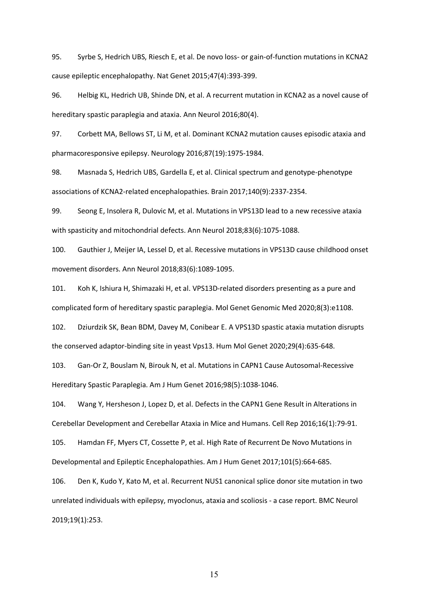95. Syrbe S, Hedrich UBS, Riesch E, et al. De novo loss- or gain-of-function mutations in KCNA2 cause epileptic encephalopathy. Nat Genet 2015;47(4):393-399.

96. Helbig KL, Hedrich UB, Shinde DN, et al. A recurrent mutation in KCNA2 as a novel cause of hereditary spastic paraplegia and ataxia. Ann Neurol 2016;80(4).

97. Corbett MA, Bellows ST, Li M, et al. Dominant KCNA2 mutation causes episodic ataxia and pharmacoresponsive epilepsy. Neurology 2016;87(19):1975-1984.

98. Masnada S, Hedrich UBS, Gardella E, et al. Clinical spectrum and genotype-phenotype associations of KCNA2-related encephalopathies. Brain 2017;140(9):2337-2354.

99. Seong E, Insolera R, Dulovic M, et al. Mutations in VPS13D lead to a new recessive ataxia with spasticity and mitochondrial defects. Ann Neurol 2018;83(6):1075-1088.

100. Gauthier J, Meijer IA, Lessel D, et al. Recessive mutations in VPS13D cause childhood onset movement disorders. Ann Neurol 2018;83(6):1089-1095.

101. Koh K, Ishiura H, Shimazaki H, et al. VPS13D-related disorders presenting as a pure and complicated form of hereditary spastic paraplegia. Mol Genet Genomic Med 2020;8(3):e1108.

102. Dziurdzik SK, Bean BDM, Davey M, Conibear E. A VPS13D spastic ataxia mutation disrupts the conserved adaptor-binding site in yeast Vps13. Hum Mol Genet 2020;29(4):635-648.

103. Gan-Or Z, Bouslam N, Birouk N, et al. Mutations in CAPN1 Cause Autosomal-Recessive Hereditary Spastic Paraplegia. Am J Hum Genet 2016;98(5):1038-1046.

104. Wang Y, Hersheson J, Lopez D, et al. Defects in the CAPN1 Gene Result in Alterations in Cerebellar Development and Cerebellar Ataxia in Mice and Humans. Cell Rep 2016;16(1):79-91. 105. Hamdan FF, Myers CT, Cossette P, et al. High Rate of Recurrent De Novo Mutations in

Developmental and Epileptic Encephalopathies. Am J Hum Genet 2017;101(5):664-685.

106. Den K, Kudo Y, Kato M, et al. Recurrent NUS1 canonical splice donor site mutation in two unrelated individuals with epilepsy, myoclonus, ataxia and scoliosis - a case report. BMC Neurol 2019;19(1):253.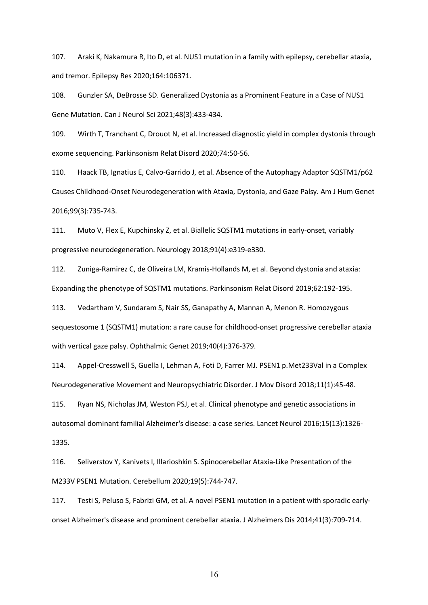107. Araki K, Nakamura R, Ito D, et al. NUS1 mutation in a family with epilepsy, cerebellar ataxia, and tremor. Epilepsy Res 2020;164:106371.

108. Gunzler SA, DeBrosse SD. Generalized Dystonia as a Prominent Feature in a Case of NUS1 Gene Mutation. Can J Neurol Sci 2021;48(3):433-434.

109. Wirth T, Tranchant C, Drouot N, et al. Increased diagnostic yield in complex dystonia through exome sequencing. Parkinsonism Relat Disord 2020;74:50-56.

110. Haack TB, Ignatius E, Calvo-Garrido J, et al. Absence of the Autophagy Adaptor SQSTM1/p62 Causes Childhood-Onset Neurodegeneration with Ataxia, Dystonia, and Gaze Palsy. Am J Hum Genet 2016;99(3):735-743.

111. Muto V, Flex E, Kupchinsky Z, et al. Biallelic SQSTM1 mutations in early-onset, variably progressive neurodegeneration. Neurology 2018;91(4):e319-e330.

112. Zuniga-Ramirez C, de Oliveira LM, Kramis-Hollands M, et al. Beyond dystonia and ataxia: Expanding the phenotype of SQSTM1 mutations. Parkinsonism Relat Disord 2019;62:192-195.

113. Vedartham V, Sundaram S, Nair SS, Ganapathy A, Mannan A, Menon R. Homozygous sequestosome 1 (SQSTM1) mutation: a rare cause for childhood-onset progressive cerebellar ataxia with vertical gaze palsy. Ophthalmic Genet 2019;40(4):376-379.

114. Appel-Cresswell S, Guella I, Lehman A, Foti D, Farrer MJ. PSEN1 p.Met233Val in a Complex Neurodegenerative Movement and Neuropsychiatric Disorder. J Mov Disord 2018;11(1):45-48.

115. Ryan NS, Nicholas JM, Weston PSJ, et al. Clinical phenotype and genetic associations in autosomal dominant familial Alzheimer's disease: a case series. Lancet Neurol 2016;15(13):1326- 1335.

116. Seliverstov Y, Kanivets I, Illarioshkin S. Spinocerebellar Ataxia-Like Presentation of the M233V PSEN1 Mutation. Cerebellum 2020;19(5):744-747.

117. Testi S, Peluso S, Fabrizi GM, et al. A novel PSEN1 mutation in a patient with sporadic earlyonset Alzheimer's disease and prominent cerebellar ataxia. J Alzheimers Dis 2014;41(3):709-714.